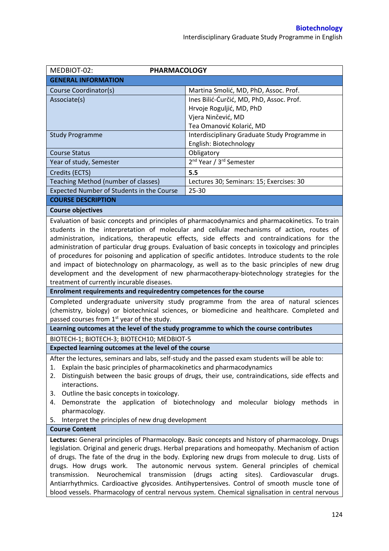| MEDBIOT-02:<br><b>PHARMACOLOGY</b>                                                                                                                                                                                                                                                                                                                                                                                                                                                                                                                                                                                                                                                                                                             |                                                 |  |  |  |
|------------------------------------------------------------------------------------------------------------------------------------------------------------------------------------------------------------------------------------------------------------------------------------------------------------------------------------------------------------------------------------------------------------------------------------------------------------------------------------------------------------------------------------------------------------------------------------------------------------------------------------------------------------------------------------------------------------------------------------------------|-------------------------------------------------|--|--|--|
| <b>GENERAL INFORMATION</b>                                                                                                                                                                                                                                                                                                                                                                                                                                                                                                                                                                                                                                                                                                                     |                                                 |  |  |  |
| Course Coordinator(s)                                                                                                                                                                                                                                                                                                                                                                                                                                                                                                                                                                                                                                                                                                                          | Martina Smolić, MD, PhD, Assoc. Prof.           |  |  |  |
| Associate(s)                                                                                                                                                                                                                                                                                                                                                                                                                                                                                                                                                                                                                                                                                                                                   | Ines Bilić-Ćurčić, MD, PhD, Assoc. Prof.        |  |  |  |
|                                                                                                                                                                                                                                                                                                                                                                                                                                                                                                                                                                                                                                                                                                                                                | Hrvoje Roguljić, MD, PhD                        |  |  |  |
|                                                                                                                                                                                                                                                                                                                                                                                                                                                                                                                                                                                                                                                                                                                                                | Vjera Ninčević, MD                              |  |  |  |
|                                                                                                                                                                                                                                                                                                                                                                                                                                                                                                                                                                                                                                                                                                                                                | Tea Omanović Kolarić, MD                        |  |  |  |
| <b>Study Programme</b>                                                                                                                                                                                                                                                                                                                                                                                                                                                                                                                                                                                                                                                                                                                         | Interdisciplinary Graduate Study Programme in   |  |  |  |
|                                                                                                                                                                                                                                                                                                                                                                                                                                                                                                                                                                                                                                                                                                                                                | English: Biotechnology                          |  |  |  |
| <b>Course Status</b>                                                                                                                                                                                                                                                                                                                                                                                                                                                                                                                                                                                                                                                                                                                           | Obligatory                                      |  |  |  |
| Year of study, Semester                                                                                                                                                                                                                                                                                                                                                                                                                                                                                                                                                                                                                                                                                                                        | 2 <sup>nd</sup> Year / 3 <sup>rd</sup> Semester |  |  |  |
| Credits (ECTS)                                                                                                                                                                                                                                                                                                                                                                                                                                                                                                                                                                                                                                                                                                                                 | 5.5                                             |  |  |  |
| Teaching Method (number of classes)                                                                                                                                                                                                                                                                                                                                                                                                                                                                                                                                                                                                                                                                                                            | Lectures 30; Seminars: 15; Exercises: 30        |  |  |  |
| Expected Number of Students in the Course                                                                                                                                                                                                                                                                                                                                                                                                                                                                                                                                                                                                                                                                                                      | $25 - 30$                                       |  |  |  |
| <b>COURSE DESCRIPTION</b>                                                                                                                                                                                                                                                                                                                                                                                                                                                                                                                                                                                                                                                                                                                      |                                                 |  |  |  |
| <b>Course objectives</b>                                                                                                                                                                                                                                                                                                                                                                                                                                                                                                                                                                                                                                                                                                                       |                                                 |  |  |  |
| Evaluation of basic concepts and principles of pharmacodynamics and pharmacokinetics. To train<br>students in the interpretation of molecular and cellular mechanisms of action, routes of<br>administration, indications, therapeutic effects, side effects and contraindications for the<br>administration of particular drug groups. Evaluation of basic concepts in toxicology and principles<br>of procedures for poisoning and application of specific antidotes. Introduce students to the role<br>and impact of biotechnology on pharmacology, as well as to the basic principles of new drug<br>development and the development of new pharmacotherapy-biotechnology strategies for the<br>treatment of currently incurable diseases. |                                                 |  |  |  |
| Enrolment requirements and requiredentry competences for the course                                                                                                                                                                                                                                                                                                                                                                                                                                                                                                                                                                                                                                                                            |                                                 |  |  |  |
| Completed undergraduate university study programme from the area of natural sciences<br>(chemistry, biology) or biotechnical sciences, or biomedicine and healthcare. Completed and<br>passed courses from 1 <sup>st</sup> year of the study.                                                                                                                                                                                                                                                                                                                                                                                                                                                                                                  |                                                 |  |  |  |
| Learning outcomes at the level of the study programme to which the course contributes                                                                                                                                                                                                                                                                                                                                                                                                                                                                                                                                                                                                                                                          |                                                 |  |  |  |
| BIOTECH-1; BIOTECH-3; BIOTECH10; MEDBIOT-5                                                                                                                                                                                                                                                                                                                                                                                                                                                                                                                                                                                                                                                                                                     |                                                 |  |  |  |
| Expected learning outcomes at the level of the course                                                                                                                                                                                                                                                                                                                                                                                                                                                                                                                                                                                                                                                                                          |                                                 |  |  |  |
| After the lectures, seminars and labs, self-study and the passed exam students will be able to:<br>Explain the basic principles of pharmacokinetics and pharmacodynamics<br>1.<br>Distinguish between the basic groups of drugs, their use, contraindications, side effects and<br>2.<br>interactions.<br>Outline the basic concepts in toxicology.<br>3.<br>Demonstrate the application of biotechnology and molecular biology methods in<br>4.<br>pharmacology.<br>5. Interpret the principles of new drug development                                                                                                                                                                                                                       |                                                 |  |  |  |
| <b>Course Content</b>                                                                                                                                                                                                                                                                                                                                                                                                                                                                                                                                                                                                                                                                                                                          |                                                 |  |  |  |
| Lectures: General principles of Pharmacology. Basic concepts and history of pharmacology. Drugs<br>legislation. Original and generic drugs. Herbal preparations and homeopathy. Mechanism of action<br>of drugs. The fate of the drug in the body. Exploring new drugs from molecule to drug. Lists of<br>drugs. How drugs work.<br>The autonomic nervous system. General principles of chemical<br>Neurochemical transmission (drugs<br>acting sites). Cardiovascular<br>transmission.<br>drugs.<br>Antiarrhythmics. Cardioactive glycosides. Antihypertensives. Control of smooth muscle tone of<br>blood vessels. Pharmacology of central nervous system. Chemical signalisation in central nervous                                         |                                                 |  |  |  |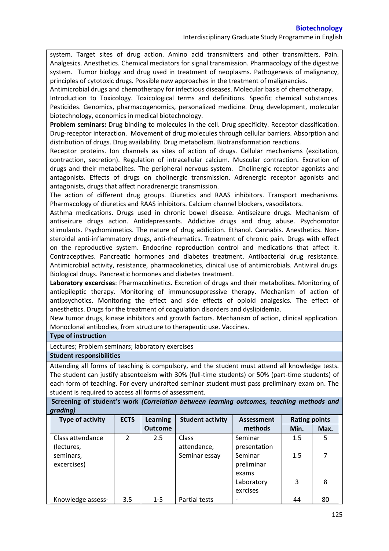system. Target sites of drug action. Amino acid transmitters and other transmitters. Pain. Analgesics. Anesthetics. Chemical mediators for signal transmission. Pharmacology of the digestive system. Tumor biology and drug used in treatment of neoplasms. Pathogenesis of malignancy, principles of cytotoxic drugs. Possible new approaches in the treatment of malignancies.

Antimicrobial drugs and chemotherapy for infectious diseases. Molecular basis of chemotherapy. Introduction to Toxicology. Toxicological terms and definitions. Specific chemical substances. Pesticides. Genomics, pharmacogenomics, personalized medicine. Drug development, molecular biotechnology, economics in medical biotechnology.

**Problem seminars:** Drug binding to molecules in the cell. Drug specificity. Receptor classification. Drug-receptor interaction. Movement of drug molecules through cellular barriers. Absorption and distribution of drugs. Drug availability. Drug metabolism. Biotransformation reactions.

Receptor proteins. Ion channels as sites of action of drugs. Cellular mechanisms (excitation, contraction, secretion). Regulation of intracellular calcium. Muscular contraction. Excretion of drugs and their metabolites. The peripheral nervous system. Cholinergic receptor agonists and antagonists. Effects of drugs on cholinergic transmission. Adrenergic receptor agonists and antagonists, drugs that affect noradrenergic transmission.

The action of different drug groups. Diuretics and RAAS inhibitors. Transport mechanisms. Pharmacology of diuretics and RAAS inhibitors. Calcium channel blockers, vasodilators.

Asthma medications. Drugs used in chronic bowel disease. Antiseizure drugs. Mechanism of antiseizure drugs action. Antidepressants. Addictive drugs and drug abuse. Psychomotor stimulants. Psychomimetics. The nature of drug addiction. Ethanol. Cannabis. Anesthetics. Nonsteroidal anti-inflammatory drugs, anti-rheumatics. Treatment of chronic pain. Drugs with effect on the reproductive system. Endocrine reproduction control and medications that affect it. Contraceptives. Pancreatic hormones and diabetes treatment. Antibacterial drug resistance. Antimicrobial activity, resistance, pharmacokinetics, clinical use of antimicrobials. Antiviral drugs. Biological drugs. Pancreatic hormones and diabetes treatment.

**Laboratory excercises**: Pharmacokinetics. Excretion of drugs and their metabolites. Monitoring of antiepileptic therapy. Monitoring of immunosuppressive therapy. Mechanism of action of antipsychotics. Monitoring the effect and side effects of opioid analgesics. The effect of anesthetics. Drugs for the treatment of coagulation disorders and dyslipidemia.

New tumor drugs, kinase inhibitors and growth factors. Mechanism of action, clinical application. Monoclonal antibodies, from structure to therapeutic use. Vaccines.

### **Type of instruction**

Lectures; Problem seminars; laboratory exercises

#### **Student responsibilities**

Attending all forms of teaching is compulsory, and the student must attend all knowledge tests. The student can justify absenteeism with 30% (full-time students) or 50% (part-time students) of each form of teaching. For every undrafted seminar student must pass preliminary exam on. The student is required to access all forms of assessment.

### **Screening of student's work** *(Correlation between learning outcomes, teaching methods and grading)*

| Type of activity  | <b>ECTS</b>    | Learning       | <b>Student activity</b> | <b>Assessment</b> | <b>Rating points</b> |      |
|-------------------|----------------|----------------|-------------------------|-------------------|----------------------|------|
|                   |                | <b>Outcome</b> |                         | methods           | Min.                 | Max. |
| Class attendance  | $\overline{2}$ | 2.5            | Class                   | Seminar           | 1.5                  | 5    |
| (lectures,        |                |                | attendance,             | presentation      |                      |      |
| seminars,         |                |                | Seminar essay           | Seminar           | 1.5                  | 7    |
| excercises)       |                |                |                         | preliminar        |                      |      |
|                   |                |                |                         | exams             |                      |      |
|                   |                |                |                         | Laboratory        | 3                    | 8    |
|                   |                |                |                         | exrcises          |                      |      |
| Knowledge assess- | 3.5            | $1 - 5$        | Partial tests           |                   | 44                   | 80   |